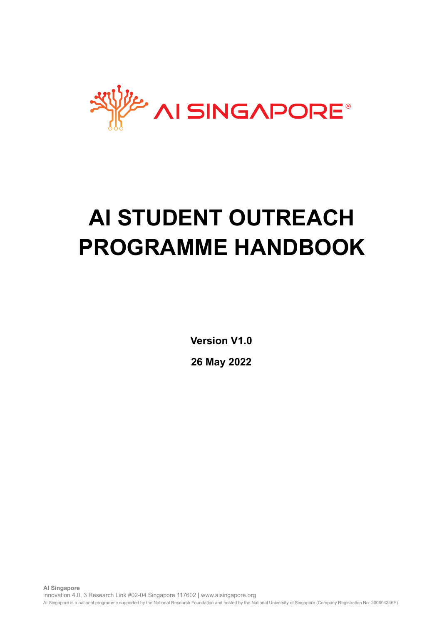

# **AI STUDENT OUTREACH PROGRAMME HANDBOOK**

**Version V1.0 26 May 2022**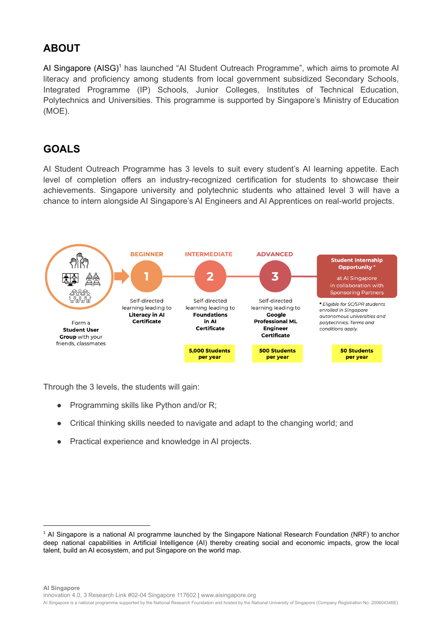### **ABOUT**

AI Singapore (AISG)<sup>1</sup> has launched "AI Student Outreach Programme", which aims to promote AI literacy and proficiency among students from local government subsidized Secondary Schools, Integrated Programme (IP) Schools, Junior Colleges, Institutes of Technical Education, Polytechnics and Universities. This programme is supported by Singapore's Ministry of Education (MOE).

### **GOALS**

AI Student Outreach Programme has 3 levels to suit every student's AI learning appetite. Each level of completion offers an industry-recognized certification for students to showcase their achievements. Singapore university and polytechnic students who attained level 3 will have a chance to intern alongside AI Singapore's AI Engineers and AI Apprentices on real-world projects.



Through the 3 levels, the students will gain:

- Programming skills like Python and/or R;
- Critical thinking skills needed to navigate and adapt to the changing world; and
- Practical experience and knowledge in AI projects.

<sup>&</sup>lt;sup>1</sup> AI Singapore is a national AI programme launched by the Singapore National Research Foundation (NRF) to anchor deep national capabilities in Artificial Intelligence (AI) thereby creating social and economic impacts, grow the local talent, build an AI ecosystem, and put Singapore on the world map.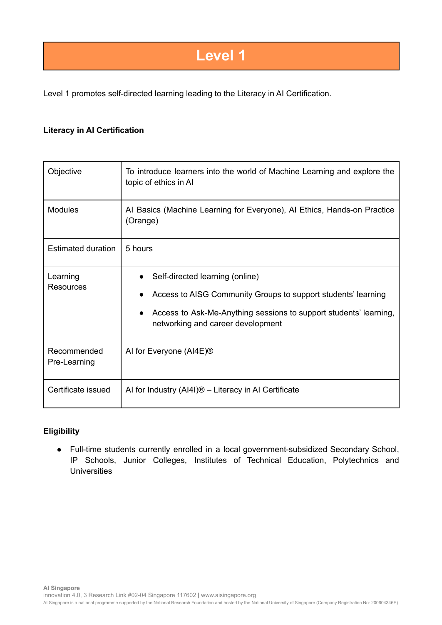### **Level 1**

Level 1 promotes self-directed learning leading to the Literacy in AI Certification.

#### **Literacy in AI Certification**

| Objective                    | To introduce learners into the world of Machine Learning and explore the<br>topic of ethics in Al                                                                                                          |
|------------------------------|------------------------------------------------------------------------------------------------------------------------------------------------------------------------------------------------------------|
| <b>Modules</b>               | Al Basics (Machine Learning for Everyone), Al Ethics, Hands-on Practice<br>(Orange)                                                                                                                        |
| <b>Estimated duration</b>    | 5 hours                                                                                                                                                                                                    |
| Learning<br><b>Resources</b> | Self-directed learning (online)<br>Access to AISG Community Groups to support students' learning<br>Access to Ask-Me-Anything sessions to support students' learning,<br>networking and career development |
| Recommended<br>Pre-Learning  | AI for Everyone (AI4E) <sup>®</sup>                                                                                                                                                                        |
| Certificate issued           | Al for Industry $(A 4 )$ <sup>®</sup> – Literacy in Al Certificate                                                                                                                                         |

#### **Eligibility**

● Full-time students currently enrolled in a local government-subsidized Secondary School, IP Schools, Junior Colleges, Institutes of Technical Education, Polytechnics and **Universities**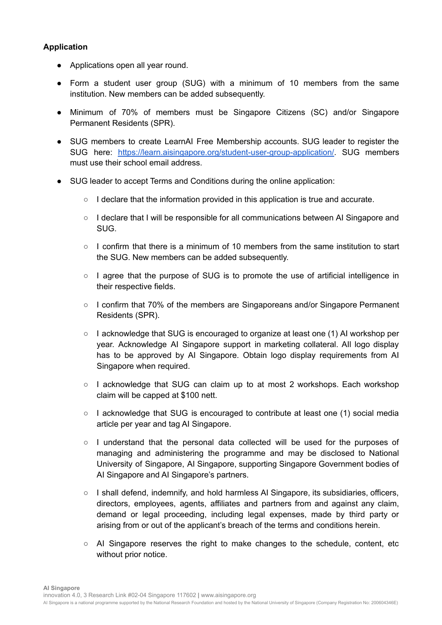#### **Application**

- Applications open all year round.
- Form a student user group (SUG) with a minimum of 10 members from the same institution. New members can be added subsequently.
- Minimum of 70% of members must be Singapore Citizens (SC) and/or Singapore Permanent Residents (SPR).
- SUG members to create LearnAI Free Membership accounts. SUG leader to register the SUG here: [https://learn.aisingapore.org/student-user-group-application/.](https://learn.aisingapore.org/student-user-group-application/) SUG members must use their school email address.
- SUG leader to accept Terms and Conditions during the online application:
	- $\circ$  I declare that the information provided in this application is true and accurate.
	- I declare that I will be responsible for all communications between AI Singapore and SUG.
	- $\circ$  I confirm that there is a minimum of 10 members from the same institution to start the SUG. New members can be added subsequently.
	- I agree that the purpose of SUG is to promote the use of artificial intelligence in their respective fields.
	- I confirm that 70% of the members are Singaporeans and/or Singapore Permanent Residents (SPR).
	- $\circ$  I acknowledge that SUG is encouraged to organize at least one (1) AI workshop per year. Acknowledge AI Singapore support in marketing collateral. AIl logo display has to be approved by AI Singapore. Obtain logo display requirements from AI Singapore when required.
	- I acknowledge that SUG can claim up to at most 2 workshops. Each workshop claim will be capped at \$100 nett.
	- $\circ$  I acknowledge that SUG is encouraged to contribute at least one (1) social media article per year and tag AI Singapore.
	- I understand that the personal data collected will be used for the purposes of managing and administering the programme and may be disclosed to National University of Singapore, AI Singapore, supporting Singapore Government bodies of AI Singapore and AI Singapore's partners.
	- I shall defend, indemnify, and hold harmless AI Singapore, its subsidiaries, officers, directors, employees, agents, affiliates and partners from and against any claim, demand or legal proceeding, including legal expenses, made by third party or arising from or out of the applicant's breach of the terms and conditions herein.
	- $\circ$  AI Singapore reserves the right to make changes to the schedule, content, etc without prior notice.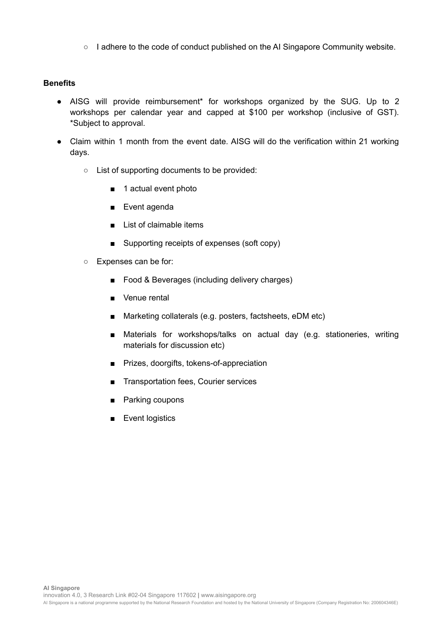○ I adhere to the code of conduct published on the AI Singapore Community website.

#### **Benefits**

- AISG will provide reimbursement\* for workshops organized by the SUG. Up to 2 workshops per calendar year and capped at \$100 per workshop (inclusive of GST). \*Subject to approval.
- Claim within 1 month from the event date. AISG will do the verification within 21 working days.
	- List of supporting documents to be provided:
		- 1 actual event photo
		- Event agenda
		- List of claimable items
		- Supporting receipts of expenses (soft copy)
	- Expenses can be for:
		- Food & Beverages (including delivery charges)
		- Venue rental
		- Marketing collaterals (e.g. posters, factsheets, eDM etc)
		- Materials for workshops/talks on actual day (e.g. stationeries, writing materials for discussion etc)
		- Prizes, doorgifts, tokens-of-appreciation
		- Transportation fees, Courier services
		- Parking coupons
		- **Event logistics**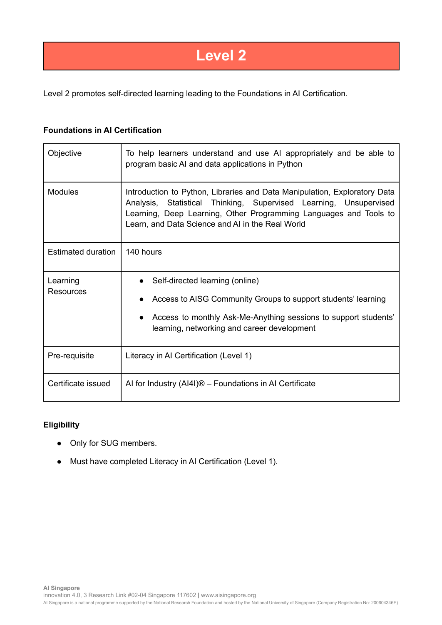## **Level 2**

Level 2 promotes self-directed learning leading to the Foundations in AI Certification.

#### **Foundations in AI Certification**

| Objective                    | To help learners understand and use AI appropriately and be able to<br>program basic AI and data applications in Python                                                                                                                                                 |
|------------------------------|-------------------------------------------------------------------------------------------------------------------------------------------------------------------------------------------------------------------------------------------------------------------------|
| <b>Modules</b>               | Introduction to Python, Libraries and Data Manipulation, Exploratory Data<br>Analysis, Statistical Thinking, Supervised Learning, Unsupervised<br>Learning, Deep Learning, Other Programming Languages and Tools to<br>Learn, and Data Science and AI in the Real World |
| <b>Estimated duration</b>    | 140 hours                                                                                                                                                                                                                                                               |
| Learning<br><b>Resources</b> | Self-directed learning (online)<br>Access to AISG Community Groups to support students' learning<br>Access to monthly Ask-Me-Anything sessions to support students'<br>$\bullet$<br>learning, networking and career development                                         |
| Pre-requisite                | Literacy in AI Certification (Level 1)                                                                                                                                                                                                                                  |
| Certificate issued           | Al for Industry (AI4I)® - Foundations in Al Certificate                                                                                                                                                                                                                 |

#### **Eligibility**

- Only for SUG members.
- Must have completed Literacy in AI Certification (Level 1).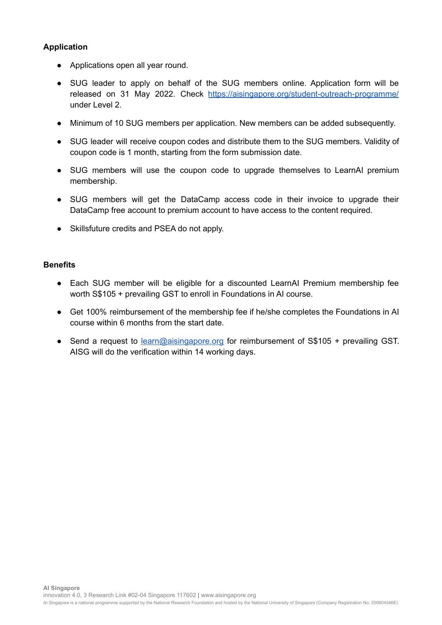#### **Application**

- Applications open all year round.
- SUG leader to apply on behalf of the SUG members online. Application form will be released on 31 May 2022. Check <https://aisingapore.org/student-outreach-programme/> under Level 2.
- Minimum of 10 SUG members per application. New members can be added subsequently.
- SUG leader will receive coupon codes and distribute them to the SUG members. Validity of coupon code is 1 month, starting from the form submission date.
- SUG members will use the coupon code to upgrade themselves to LearnAI premium membership.
- SUG members will get the DataCamp access code in their invoice to upgrade their DataCamp free account to premium account to have access to the content required.
- Skillsfuture credits and PSEA do not apply.

#### **Benefits**

- Each SUG member will be eligible for a discounted LearnAI Premium membership fee worth S\$105 + prevailing GST to enroll in Foundations in AI course.
- Get 100% reimbursement of the membership fee if he/she completes the Foundations in AI course within 6 months from the start date.
- Send a request to [learn@aisingapore.org](mailto:learn@aisingapore.org) for reimbursement of S\$105 + prevailing GST. AISG will do the verification within 14 working days.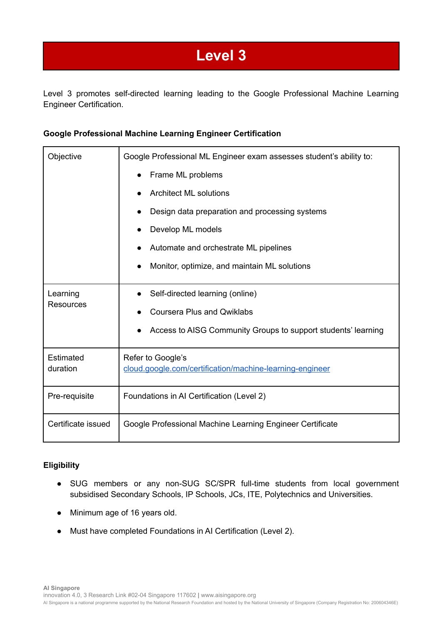## **Level 3**

Level 3 promotes self-directed learning leading to the Google Professional Machine Learning Engineer Certification.

#### **Google Professional Machine Learning Engineer Certification**

| Objective                    | Google Professional ML Engineer exam assesses student's ability to:           |
|------------------------------|-------------------------------------------------------------------------------|
|                              | Frame ML problems                                                             |
|                              | <b>Architect ML solutions</b>                                                 |
|                              | Design data preparation and processing systems                                |
|                              | Develop ML models                                                             |
|                              | Automate and orchestrate ML pipelines                                         |
|                              | Monitor, optimize, and maintain ML solutions                                  |
| Learning<br><b>Resources</b> | Self-directed learning (online)                                               |
|                              | <b>Coursera Plus and Qwiklabs</b>                                             |
|                              | Access to AISG Community Groups to support students' learning                 |
| Estimated<br>duration        | Refer to Google's<br>cloud.google.com/certification/machine-learning-engineer |
| Pre-requisite                | Foundations in AI Certification (Level 2)                                     |
| Certificate issued           | Google Professional Machine Learning Engineer Certificate                     |

#### **Eligibility**

- SUG members or any non-SUG SC/SPR full-time students from local government subsidised Secondary Schools, IP Schools, JCs, ITE, Polytechnics and Universities.
- Minimum age of 16 years old.
- Must have completed Foundations in AI Certification (Level 2).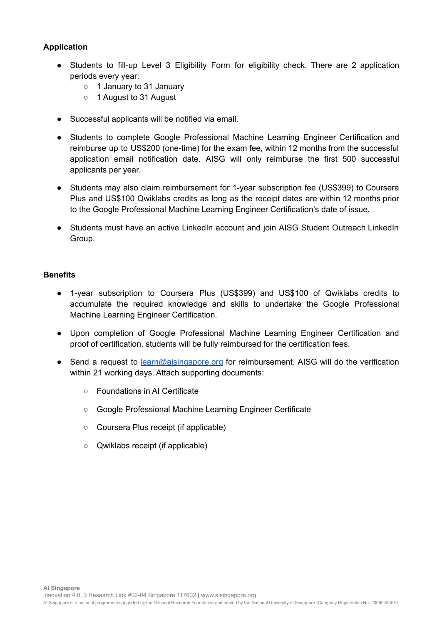#### **Application**

- Students to fill-up Level 3 Eligibility Form for eligibility check. There are 2 application periods every year:
	- 1 January to 31 January
	- 1 August to 31 August
- Successful applicants will be notified via email.
- Students to complete Google Professional Machine Learning Engineer Certification and reimburse up to US\$200 (one-time) for the exam fee, within 12 months from the successful application email notification date. AISG will only reimburse the first 500 successful applicants per year.
- Students may also claim reimbursement for 1-year subscription fee (US\$399) to Coursera Plus and US\$100 Qwiklabs credits as long as the receipt dates are within 12 months prior to the Google Professional Machine Learning Engineer Certification's date of issue.
- Students must have an active LinkedIn account and join AISG Student Outreach LinkedIn Group.

#### **Benefits**

- 1-year subscription to Coursera Plus (US\$399) and US\$100 of Qwiklabs credits to accumulate the required knowledge and skills to undertake the Google Professional Machine Learning Engineer Certification.
- Upon completion of Google Professional Machine Learning Engineer Certification and proof of certification, students will be fully reimbursed for the certification fees.
- Send a request to [learn@aisingapore.org](mailto:learn@aisingapore.org) for reimbursement. AISG will do the verification within 21 working days. Attach supporting documents:
	- Foundations in AI Certificate
	- Google Professional Machine Learning Engineer Certificate
	- Coursera Plus receipt (if applicable)
	- Qwiklabs receipt (if applicable)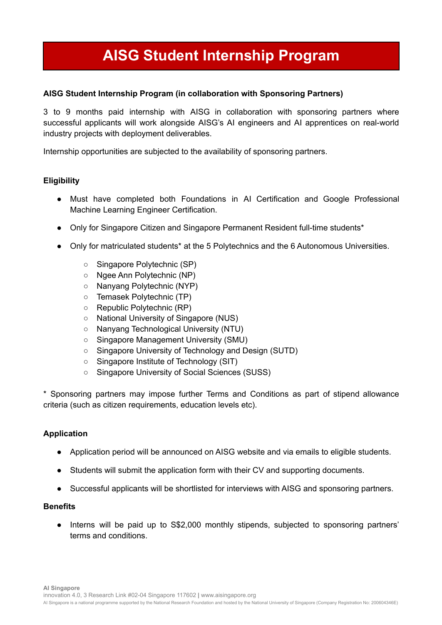# **AISG Student Internship Program**

#### **AISG Student Internship Program (in collaboration with Sponsoring Partners)**

3 to 9 months paid internship with AISG in collaboration with sponsoring partners where successful applicants will work alongside AISG's AI engineers and AI apprentices on real-world industry projects with deployment deliverables.

Internship opportunities are subjected to the availability of sponsoring partners.

#### **Eligibility**

- Must have completed both Foundations in AI Certification and Google Professional Machine Learning Engineer Certification.
- Only for Singapore Citizen and Singapore Permanent Resident full-time students\*
- Only for matriculated students<sup>\*</sup> at the 5 Polytechnics and the 6 Autonomous Universities.
	- Singapore Polytechnic (SP)
	- Ngee Ann Polytechnic (NP)
	- Nanyang Polytechnic (NYP)
	- Temasek Polytechnic (TP)
	- Republic Polytechnic (RP)
	- National University of Singapore (NUS)
	- Nanyang Technological University (NTU)
	- Singapore Management University (SMU)
	- Singapore University of Technology and Design (SUTD)
	- Singapore Institute of Technology (SIT)
	- Singapore University of Social Sciences (SUSS)

\* Sponsoring partners may impose further Terms and Conditions as part of stipend allowance criteria (such as citizen requirements, education levels etc).

#### **Application**

- Application period will be announced on AISG website and via emails to eligible students.
- Students will submit the application form with their CV and supporting documents.
- Successful applicants will be shortlisted for interviews with AISG and sponsoring partners.

#### **Benefits**

Interns will be paid up to S\$2,000 monthly stipends, subjected to sponsoring partners' terms and conditions.